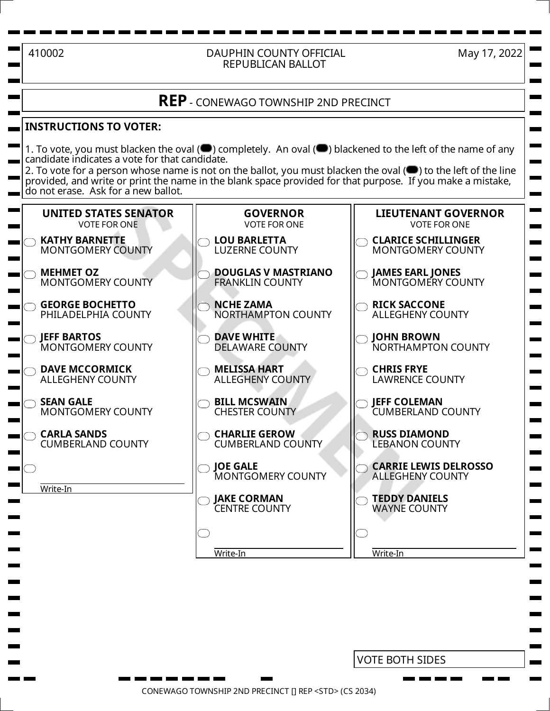## 410002 DAUPHIN COUNTY OFFICIAL REPUBLICAN BALLOT

May 17, 2022

## **REP**- CONEWAGO TOWNSHIP 2ND PRECINCT

## **INSTRUCTIONS TO VOTER:**

1. To vote, you must blacken the oval ( $\blacksquare$ ) completely. An oval ( $\blacksquare$ ) blackened to the left of the name of any candidate indicates a vote for that candidate.

2. To vote for a person whose name is not on the ballot, you must blacken the oval  $($ **•**) to the left of the line provided, and write or print the name in the blank space provided for that purpose. If you make a mistake, do not erase. Ask for a new ballot.